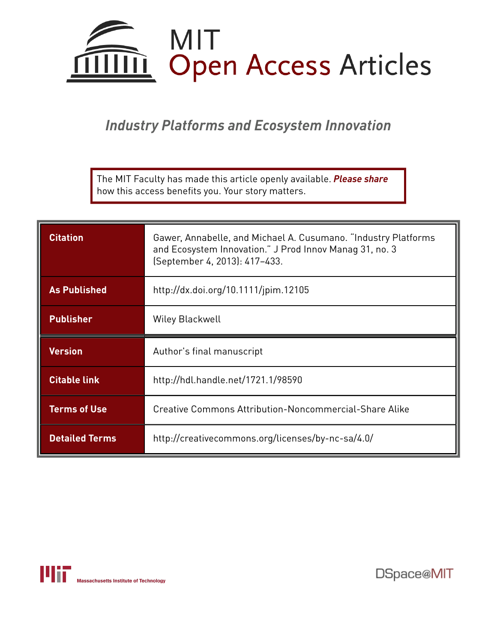

# *Industry Platforms and Ecosystem Innovation*

The MIT Faculty has made this article openly available. *[Please](https://libraries.mit.edu/forms/dspace-oa-articles.html) share* how this access benefits you. Your story matters.

| <b>Citation</b>       | Gawer, Annabelle, and Michael A. Cusumano. "Industry Platforms<br>and Ecosystem Innovation." J Prod Innov Manag 31, no. 3<br>(September 4, 2013): 417-433. |  |
|-----------------------|------------------------------------------------------------------------------------------------------------------------------------------------------------|--|
| <b>As Published</b>   | http://dx.doi.org/10.1111/jpim.12105                                                                                                                       |  |
| <b>Publisher</b>      | <b>Wiley Blackwell</b>                                                                                                                                     |  |
| <b>Version</b>        | Author's final manuscript                                                                                                                                  |  |
| <b>Citable link</b>   | http://hdl.handle.net/1721.1/98590                                                                                                                         |  |
| <b>Terms of Use</b>   | Creative Commons Attribution-Noncommercial-Share Alike                                                                                                     |  |
| <b>Detailed Terms</b> | http://creativecommons.org/licenses/by-nc-sa/4.0/                                                                                                          |  |

шт **Massachusetts Institute of Technology**  DSpace@MIT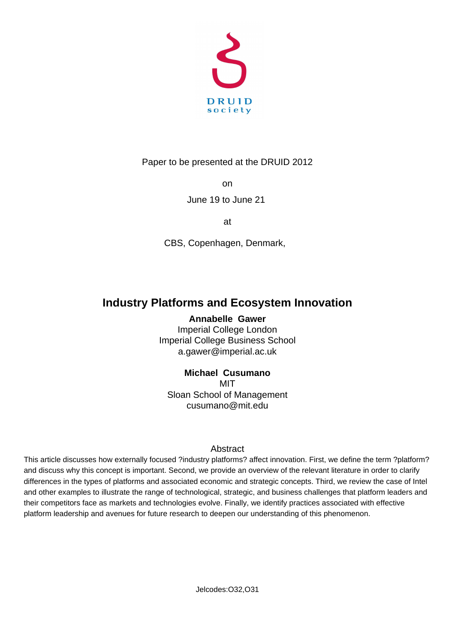

Paper to be presented at the DRUID 2012

on

June 19 to June 21

at

CBS, Copenhagen, Denmark,

# **Industry Platforms and Ecosystem Innovation**

**Annabelle Gawer** Imperial College London Imperial College Business School a.gawer@imperial.ac.uk

**Michael Cusumano** MIT Sloan School of Management cusumano@mit.edu

# **Abstract**

<span id="page-1-0"></span>This article discusses how externally focused ?industry platforms? affect innovation. First, we define the term ?platform? and discuss why this concept is important. Second, we provide an overview of the relevant literature in order to clarify differences in the types of platforms and associated economic and strategic concepts. Third, we review the case of Intel and other examples to illustrate the range of technological, strategic, and business challenges that platform leaders and their competitors face as markets and technologies evolve. Finally, we identify practices associated with effective platform leadership and avenues for future research to deepen our understanding of this phenomenon.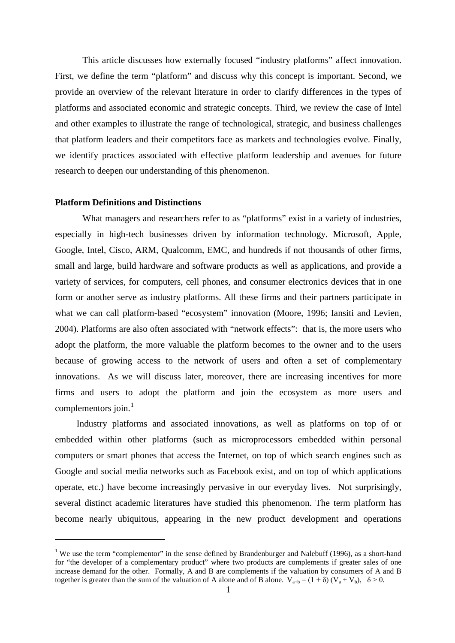This article discusses how externally focused "industry platforms" affect innovation. First, we define the term "platform" and discuss why this concept is important. Second, we provide an overview of the relevant literature in order to clarify differences in the types of platforms and associated economic and strategic concepts. Third, we review the case of Intel and other examples to illustrate the range of technological, strategic, and business challenges that platform leaders and their competitors face as markets and technologies evolve. Finally, we identify practices associated with effective platform leadership and avenues for future research to deepen our understanding of this phenomenon.

#### **Platform Definitions and Distinctions**

<u>.</u>

What managers and researchers refer to as "platforms" exist in a variety of industries, especially in high-tech businesses driven by information technology. Microsoft, Apple, Google, Intel, Cisco, ARM, Qualcomm, EMC, and hundreds if not thousands of other firms, small and large, build hardware and software products as well as applications, and provide a variety of services, for computers, cell phones, and consumer electronics devices that in one form or another serve as industry platforms. All these firms and their partners participate in what we can call platform-based "ecosystem" innovation (Moore, 1996; Iansiti and Levien, 2004). Platforms are also often associated with "network effects": that is, the more users who adopt the platform, the more valuable the platform becomes to the owner and to the users because of growing access to the network of users and often a set of complementary innovations. As we will discuss later, moreover, there are increasing incentives for more firms and users to adopt the platform and join the ecosystem as more users and complementors join. [1](#page-1-0)

Industry platforms and associated innovations, as well as platforms on top of or embedded within other platforms (such as microprocessors embedded within personal computers or smart phones that access the Internet, on top of which search engines such as Google and social media networks such as Facebook exist, and on top of which applications operate, etc.) have become increasingly pervasive in our everyday lives. Not surprisingly, several distinct academic literatures have studied this phenomenon. The term platform has become nearly ubiquitous, appearing in the new product development and operations

<span id="page-2-0"></span><sup>&</sup>lt;sup>1</sup> We use the term "complementor" in the sense defined by Brandenburger and Nalebuff (1996), as a short-hand for "the developer of a complementary product" where two products are complements if greater sales of one increase demand for the other. Formally, A and B are complements if the valuation by consumers of A and B together is greater than the sum of the valuation of A alone and of B alone.  $V_{a+b} = (1 + \delta) (V_a + V_b)$ ,  $\delta > 0$ .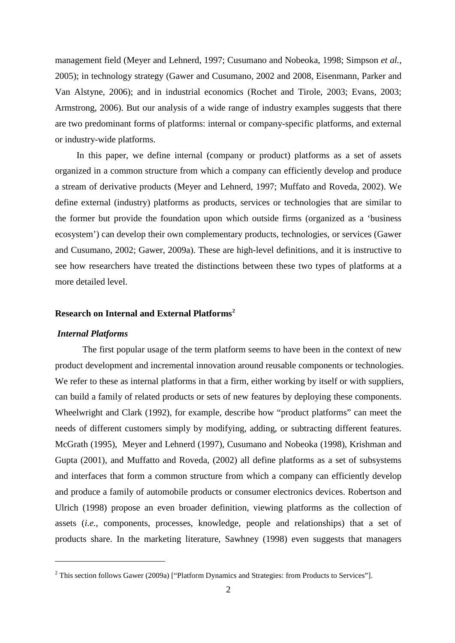management field (Meyer and Lehnerd, 1997; Cusumano and Nobeoka, 1998; Simpson *et al.*, 2005); in technology strategy (Gawer and Cusumano, 2002 and 2008, Eisenmann, Parker and Van Alstyne, 2006); and in industrial economics (Rochet and Tirole, 2003; Evans, 2003; Armstrong, 2006). But our analysis of a wide range of industry examples suggests that there are two predominant forms of platforms: internal or company-specific platforms, and external or industry-wide platforms.

In this paper, we define internal (company or product) platforms as a set of assets organized in a common structure from which a company can efficiently develop and produce a stream of derivative products (Meyer and Lehnerd, 1997; Muffato and Roveda, 2002). We define external (industry) platforms as products, services or technologies that are similar to the former but provide the foundation upon which outside firms (organized as a 'business ecosystem') can develop their own complementary products, technologies, or services (Gawer and Cusumano, 2002; Gawer, 2009a). These are high-level definitions, and it is instructive to see how researchers have treated the distinctions between these two types of platforms at a more detailed level.

### **Research on Internal and External Platforms[2](#page-2-0)**

#### *Internal Platforms*

<u>.</u>

The first popular usage of the term platform seems to have been in the context of new product development and incremental innovation around reusable components or technologies. We refer to these as internal platforms in that a firm, either working by itself or with suppliers, can build a family of related products or sets of new features by deploying these components. Wheelwright and Clark (1992), for example, describe how "product platforms" can meet the needs of different customers simply by modifying, adding, or subtracting different features. McGrath (1995), Meyer and Lehnerd (1997), Cusumano and Nobeoka (1998), Krishman and Gupta (2001), and Muffatto and Roveda, (2002) all define platforms as a set of subsystems and interfaces that form a common structure from which a company can efficiently develop and produce a family of automobile products or consumer electronics devices. Robertson and Ulrich (1998) propose an even broader definition, viewing platforms as the collection of assets (*i.e.*, components, processes, knowledge, people and relationships) that a set of products share. In the marketing literature, Sawhney (1998) even suggests that managers

<sup>&</sup>lt;sup>2</sup> This section follows Gawer (2009a) ["Platform Dynamics and Strategies: from Products to Services"].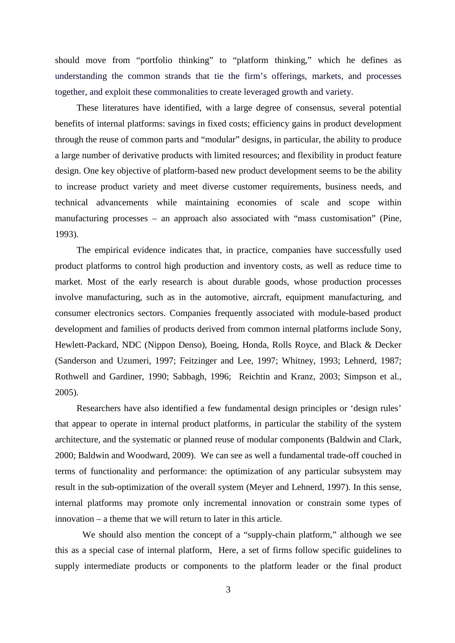should move from "portfolio thinking" to "platform thinking," which he defines as understanding the common strands that tie the firm's offerings, markets, and processes together, and exploit these commonalities to create leveraged growth and variety.

These literatures have identified, with a large degree of consensus, several potential benefits of internal platforms: savings in fixed costs; efficiency gains in product development through the reuse of common parts and "modular" designs, in particular, the ability to produce a large number of derivative products with limited resources; and flexibility in product feature design. One key objective of platform-based new product development seems to be the ability to increase product variety and meet diverse customer requirements, business needs, and technical advancements while maintaining economies of scale and scope within manufacturing processes – an approach also associated with "mass customisation" (Pine, 1993).

The empirical evidence indicates that, in practice, companies have successfully used product platforms to control high production and inventory costs, as well as reduce time to market. Most of the early research is about durable goods, whose production processes involve manufacturing, such as in the automotive, aircraft, equipment manufacturing, and consumer electronics sectors. Companies frequently associated with module-based product development and families of products derived from common internal platforms include Sony, Hewlett-Packard, NDC (Nippon Denso), Boeing, Honda, Rolls Royce, and Black & Decker (Sanderson and Uzumeri, 1997; Feitzinger and Lee, 1997; Whitney, 1993; Lehnerd, 1987; Rothwell and Gardiner, 1990; Sabbagh, 1996; Reichtin and Kranz, 2003; Simpson et al., 2005).

Researchers have also identified a few fundamental design principles or 'design rules' that appear to operate in internal product platforms, in particular the stability of the system architecture, and the systematic or planned reuse of modular components (Baldwin and Clark, 2000; Baldwin and Woodward, 2009). We can see as well a fundamental trade-off couched in terms of functionality and performance: the optimization of any particular subsystem may result in the sub-optimization of the overall system (Meyer and Lehnerd, 1997). In this sense, internal platforms may promote only incremental innovation or constrain some types of innovation – a theme that we will return to later in this article.

We should also mention the concept of a "supply-chain platform," although we see this as a special case of internal platform, Here, a set of firms follow specific guidelines to supply intermediate products or components to the platform leader or the final product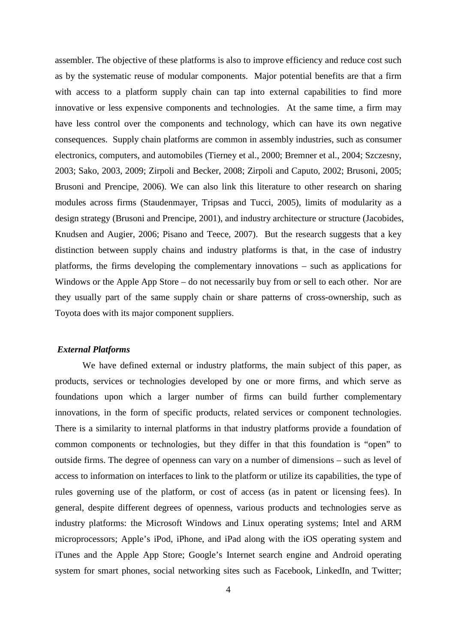assembler. The objective of these platforms is also to improve efficiency and reduce cost such as by the systematic reuse of modular components. Major potential benefits are that a firm with access to a platform supply chain can tap into external capabilities to find more innovative or less expensive components and technologies. At the same time, a firm may have less control over the components and technology, which can have its own negative consequences. Supply chain platforms are common in assembly industries, such as consumer electronics, computers, and automobiles (Tierney et al., 2000; Bremner et al., 2004; Szczesny, 2003; Sako, 2003, 2009; Zirpoli and Becker, 2008; Zirpoli and Caputo, 2002; Brusoni, 2005; Brusoni and Prencipe, 2006). We can also link this literature to other research on sharing modules across firms (Staudenmayer, Tripsas and Tucci, 2005), limits of modularity as a design strategy (Brusoni and Prencipe, 2001), and industry architecture or structure (Jacobides, Knudsen and Augier, 2006; Pisano and Teece, 2007). But the research suggests that a key distinction between supply chains and industry platforms is that, in the case of industry platforms, the firms developing the complementary innovations – such as applications for Windows or the Apple App Store – do not necessarily buy from or sell to each other. Nor are they usually part of the same supply chain or share patterns of cross-ownership, such as Toyota does with its major component suppliers.

#### *External Platforms*

We have defined external or industry platforms, the main subject of this paper, as products, services or technologies developed by one or more firms, and which serve as foundations upon which a larger number of firms can build further complementary innovations, in the form of specific products, related services or component technologies. There is a similarity to internal platforms in that industry platforms provide a foundation of common components or technologies, but they differ in that this foundation is "open" to outside firms. The degree of openness can vary on a number of dimensions – such as level of access to information on interfaces to link to the platform or utilize its capabilities, the type of rules governing use of the platform, or cost of access (as in patent or licensing fees). In general, despite different degrees of openness, various products and technologies serve as industry platforms: the Microsoft Windows and Linux operating systems; Intel and ARM microprocessors; Apple's iPod, iPhone, and iPad along with the iOS operating system and iTunes and the Apple App Store; Google's Internet search engine and Android operating system for smart phones, social networking sites such as Facebook, LinkedIn, and Twitter;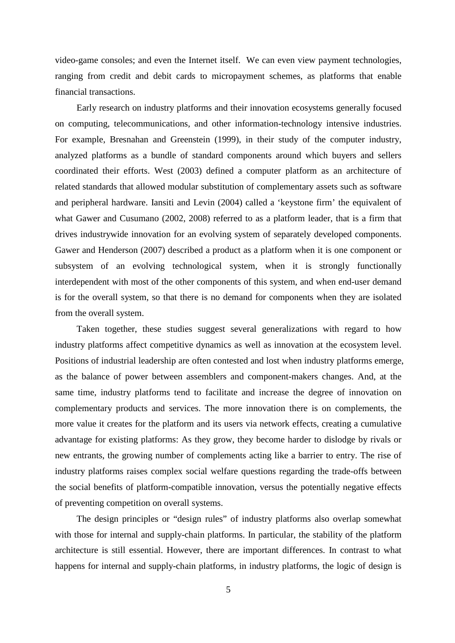video-game consoles; and even the Internet itself. We can even view payment technologies, ranging from credit and debit cards to micropayment schemes, as platforms that enable financial transactions.

Early research on industry platforms and their innovation ecosystems generally focused on computing, telecommunications, and other information-technology intensive industries. For example, Bresnahan and Greenstein (1999), in their study of the computer industry, analyzed platforms as a bundle of standard components around which buyers and sellers coordinated their efforts. West (2003) defined a computer platform as an architecture of related standards that allowed modular substitution of complementary assets such as software and peripheral hardware. Iansiti and Levin (2004) called a 'keystone firm' the equivalent of what Gawer and Cusumano (2002, 2008) referred to as a platform leader, that is a firm that drives industrywide innovation for an evolving system of separately developed components. Gawer and Henderson (2007) described a product as a platform when it is one component or subsystem of an evolving technological system, when it is strongly functionally interdependent with most of the other components of this system, and when end-user demand is for the overall system, so that there is no demand for components when they are isolated from the overall system.

 Taken together, these studies suggest several generalizations with regard to how industry platforms affect competitive dynamics as well as innovation at the ecosystem level. Positions of industrial leadership are often contested and lost when industry platforms emerge, as the balance of power between assemblers and component-makers changes. And, at the same time, industry platforms tend to facilitate and increase the degree of innovation on complementary products and services. The more innovation there is on complements, the more value it creates for the platform and its users via network effects, creating a cumulative advantage for existing platforms: As they grow, they become harder to dislodge by rivals or new entrants, the growing number of complements acting like a barrier to entry. The rise of industry platforms raises complex social welfare questions regarding the trade-offs between the social benefits of platform-compatible innovation, versus the potentially negative effects of preventing competition on overall systems.

The design principles or "design rules" of industry platforms also overlap somewhat with those for internal and supply-chain platforms. In particular, the stability of the platform architecture is still essential. However, there are important differences. In contrast to what happens for internal and supply-chain platforms, in industry platforms, the logic of design is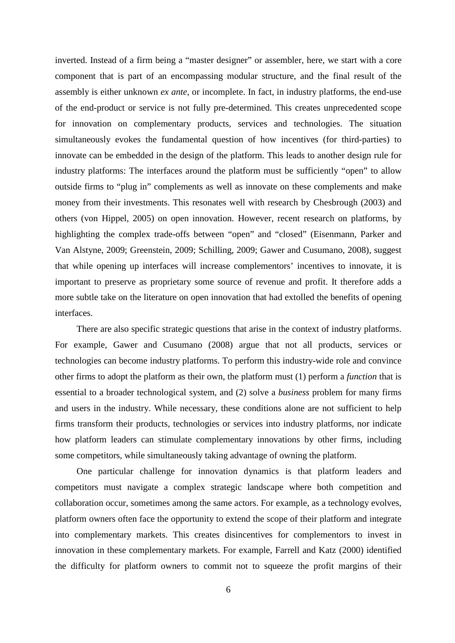inverted. Instead of a firm being a "master designer" or assembler, here, we start with a core component that is part of an encompassing modular structure, and the final result of the assembly is either unknown *ex ante*, or incomplete. In fact, in industry platforms, the end-use of the end-product or service is not fully pre-determined. This creates unprecedented scope for innovation on complementary products, services and technologies. The situation simultaneously evokes the fundamental question of how incentives (for third-parties) to innovate can be embedded in the design of the platform. This leads to another design rule for industry platforms: The interfaces around the platform must be sufficiently "open" to allow outside firms to "plug in" complements as well as innovate on these complements and make money from their investments. This resonates well with research by Chesbrough (2003) and others (von Hippel, 2005) on open innovation. However, recent research on platforms, by highlighting the complex trade-offs between "open" and "closed" (Eisenmann, Parker and Van Alstyne, 2009; Greenstein, 2009; Schilling, 2009; Gawer and Cusumano, 2008), suggest that while opening up interfaces will increase complementors' incentives to innovate, it is important to preserve as proprietary some source of revenue and profit. It therefore adds a more subtle take on the literature on open innovation that had extolled the benefits of opening interfaces.

There are also specific strategic questions that arise in the context of industry platforms. For example, Gawer and Cusumano (2008) argue that not all products, services or technologies can become industry platforms. To perform this industry-wide role and convince other firms to adopt the platform as their own, the platform must (1) perform a *function* that is essential to a broader technological system, and (2) solve a *business* problem for many firms and users in the industry. While necessary, these conditions alone are not sufficient to help firms transform their products, technologies or services into industry platforms, nor indicate how platform leaders can stimulate complementary innovations by other firms, including some competitors, while simultaneously taking advantage of owning the platform.

One particular challenge for innovation dynamics is that platform leaders and competitors must navigate a complex strategic landscape where both competition and collaboration occur, sometimes among the same actors. For example, as a technology evolves, platform owners often face the opportunity to extend the scope of their platform and integrate into complementary markets. This creates disincentives for complementors to invest in innovation in these complementary markets. For example, Farrell and Katz (2000) identified the difficulty for platform owners to commit not to squeeze the profit margins of their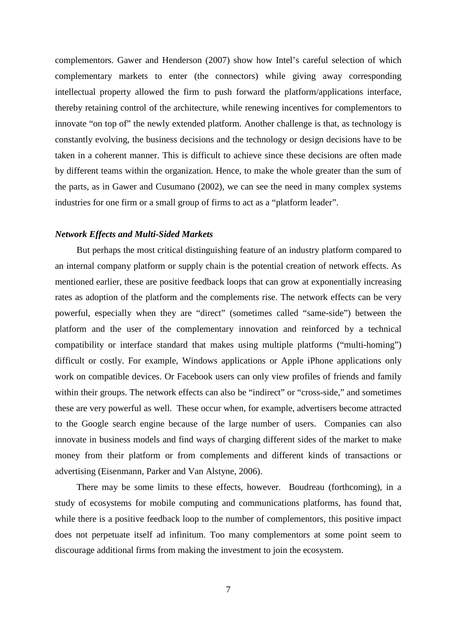complementors. Gawer and Henderson (2007) show how Intel's careful selection of which complementary markets to enter (the connectors) while giving away corresponding intellectual property allowed the firm to push forward the platform/applications interface, thereby retaining control of the architecture, while renewing incentives for complementors to innovate "on top of" the newly extended platform. Another challenge is that, as technology is constantly evolving, the business decisions and the technology or design decisions have to be taken in a coherent manner. This is difficult to achieve since these decisions are often made by different teams within the organization. Hence, to make the whole greater than the sum of the parts, as in Gawer and Cusumano (2002), we can see the need in many complex systems industries for one firm or a small group of firms to act as a "platform leader".

#### *Network Effects and Multi-Sided Markets*

But perhaps the most critical distinguishing feature of an industry platform compared to an internal company platform or supply chain is the potential creation of network effects. As mentioned earlier, these are positive feedback loops that can grow at exponentially increasing rates as adoption of the platform and the complements rise. The network effects can be very powerful, especially when they are "direct" (sometimes called "same-side") between the platform and the user of the complementary innovation and reinforced by a technical compatibility or interface standard that makes using multiple platforms ("multi-homing") difficult or costly. For example, Windows applications or Apple iPhone applications only work on compatible devices. Or Facebook users can only view profiles of friends and family within their groups. The network effects can also be "indirect" or "cross-side," and sometimes these are very powerful as well. These occur when, for example, advertisers become attracted to the Google search engine because of the large number of users. Companies can also innovate in business models and find ways of charging different sides of the market to make money from their platform or from complements and different kinds of transactions or advertising (Eisenmann, Parker and Van Alstyne, 2006).

There may be some limits to these effects, however. Boudreau (forthcoming), in a study of ecosystems for mobile computing and communications platforms, has found that, while there is a positive feedback loop to the number of complementors, this positive impact does not perpetuate itself ad infinitum. Too many complementors at some point seem to discourage additional firms from making the investment to join the ecosystem.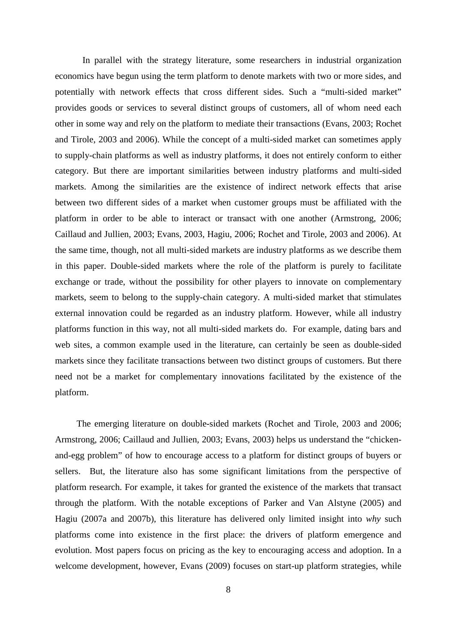In parallel with the strategy literature, some researchers in industrial organization economics have begun using the term platform to denote markets with two or more sides, and potentially with network effects that cross different sides. Such a "multi-sided market" provides goods or services to several distinct groups of customers, all of whom need each other in some way and rely on the platform to mediate their transactions (Evans, 2003; Rochet and Tirole, 2003 and 2006). While the concept of a multi-sided market can sometimes apply to supply-chain platforms as well as industry platforms, it does not entirely conform to either category. But there are important similarities between industry platforms and multi-sided markets. Among the similarities are the existence of indirect network effects that arise between two different sides of a market when customer groups must be affiliated with the platform in order to be able to interact or transact with one another (Armstrong, 2006; Caillaud and Jullien, 2003; Evans, 2003, Hagiu, 2006; Rochet and Tirole, 2003 and 2006). At the same time, though, not all multi-sided markets are industry platforms as we describe them in this paper. Double-sided markets where the role of the platform is purely to facilitate exchange or trade, without the possibility for other players to innovate on complementary markets, seem to belong to the supply-chain category. A multi-sided market that stimulates external innovation could be regarded as an industry platform. However, while all industry platforms function in this way, not all multi-sided markets do. For example, dating bars and web sites, a common example used in the literature, can certainly be seen as double-sided markets since they facilitate transactions between two distinct groups of customers. But there need not be a market for complementary innovations facilitated by the existence of the platform.

<span id="page-9-0"></span>The emerging literature on double-sided markets (Rochet and Tirole, 2003 and 2006; Armstrong, 2006; Caillaud and Jullien, 2003; Evans, 2003) helps us understand the "chickenand-egg problem" of how to encourage access to a platform for distinct groups of buyers or sellers. But, the literature also has some significant limitations from the perspective of platform research. For example, it takes for granted the existence of the markets that transact through the platform. With the notable exceptions of Parker and Van Alstyne (2005) and Hagiu (2007a and 2007b), this literature has delivered only limited insight into *why* such platforms come into existence in the first place: the drivers of platform emergence and evolution. Most papers focus on pricing as the key to encouraging access and adoption. In a welcome development, however, Evans (2009) focuses on start-up platform strategies, while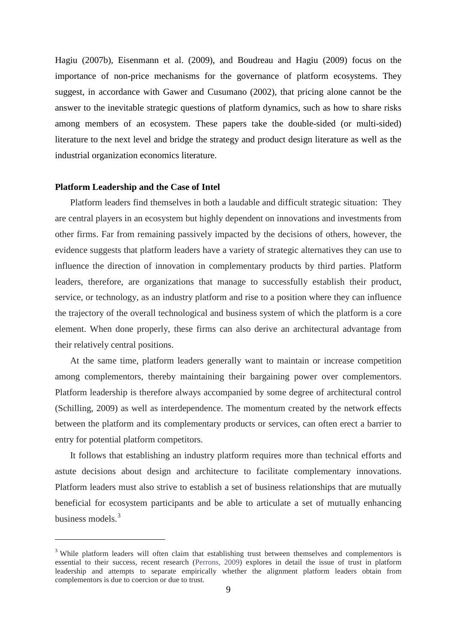Hagiu (2007b), Eisenmann et al. (2009), and Boudreau and Hagiu (2009) focus on the importance of non-price mechanisms for the governance of platform ecosystems. They suggest, in accordance with Gawer and Cusumano (2002), that pricing alone cannot be the answer to the inevitable strategic questions of platform dynamics, such as how to share risks among members of an ecosystem. These papers take the double-sided (or multi-sided) literature to the next level and bridge the strategy and product design literature as well as the industrial organization economics literature.

#### **Platform Leadership and the Case of Intel**

<u>.</u>

Platform leaders find themselves in both a laudable and difficult strategic situation: They are central players in an ecosystem but highly dependent on innovations and investments from other firms. Far from remaining passively impacted by the decisions of others, however, the evidence suggests that platform leaders have a variety of strategic alternatives they can use to influence the direction of innovation in complementary products by third parties. Platform leaders, therefore, are organizations that manage to successfully establish their product, service, or technology, as an industry platform and rise to a position where they can influence the trajectory of the overall technological and business system of which the platform is a core element. When done properly, these firms can also derive an architectural advantage from their relatively central positions.

At the same time, platform leaders generally want to maintain or increase competition among complementors, thereby maintaining their bargaining power over complementors. Platform leadership is therefore always accompanied by some degree of architectural control (Schilling, 2009) as well as interdependence. The momentum created by the network effects between the platform and its complementary products or services, can often erect a barrier to entry for potential platform competitors.

It follows that establishing an industry platform requires more than technical efforts and astute decisions about design and architecture to facilitate complementary innovations. Platform leaders must also strive to establish a set of business relationships that are mutually beneficial for ecosystem participants and be able to articulate a set of mutually enhancing business models.<sup>[3](#page-9-0)</sup>

<sup>&</sup>lt;sup>3</sup> While platform leaders will often claim that establishing trust between themselves and complementors is essential to their success, recent research (Perrons, 2009) explores in detail the issue of trust in platform leadership and attempts to separate empirically whether the alignment platform leaders obtain from complementors is due to coercion or due to trust.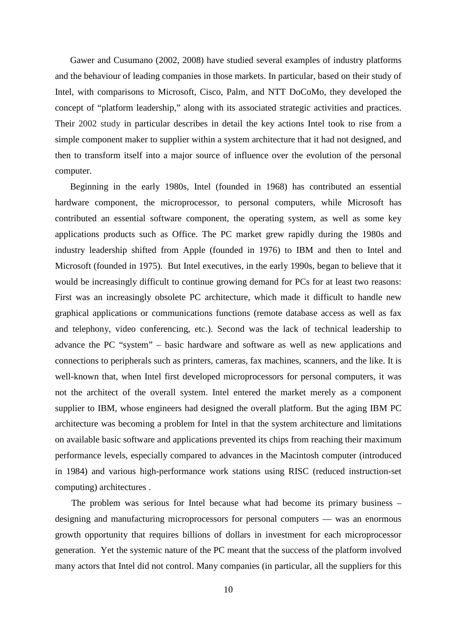Gawer and Cusumano (2002, 2008) have studied several examples of industry platforms and the behaviour of leading companies in those markets. In particular, based on their study of Intel, with comparisons to Microsoft, Cisco, Palm, and NTT DoCoMo, they developed the concept of "platform leadership," along with its associated strategic activities and practices. Their 2002 study in particular describes in detail the key actions Intel took to rise from a simple component maker to supplier within a system architecture that it had not designed, and then to transform itself into a major source of influence over the evolution of the personal computer.

Beginning in the early 1980s, Intel (founded in 1968) has contributed an essential hardware component, the microprocessor, to personal computers, while Microsoft has contributed an essential software component, the operating system, as well as some key applications products such as Office. The PC market grew rapidly during the 1980s and industry leadership shifted from Apple (founded in 1976) to IBM and then to Intel and Microsoft (founded in 1975). But Intel executives, in the early 1990s, began to believe that it would be increasingly difficult to continue growing demand for PCs for at least two reasons: First was an increasingly obsolete PC architecture, which made it difficult to handle new graphical applications or communications functions (remote database access as well as fax and telephony, video conferencing, etc.). Second was the lack of technical leadership to advance the PC "system" – basic hardware and software as well as new applications and connections to peripherals such as printers, cameras, fax machines, scanners, and the like. It is well-known that, when Intel first developed microprocessors for personal computers, it was not the architect of the overall system. Intel entered the market merely as a component supplier to IBM, whose engineers had designed the overall platform. But the aging IBM PC architecture was becoming a problem for Intel in that the system architecture and limitations on available basic software and applications prevented its chips from reaching their maximum performance levels, especially compared to advances in the Macintosh computer (introduced in 1984) and various high-performance work stations using RISC (reduced instruction-set computing) architectures .

<span id="page-11-1"></span><span id="page-11-0"></span>The problem was serious for Intel because what had become its primary business – designing and manufacturing microprocessors for personal computers — was an enormous growth opportunity that requires billions of dollars in investment for each microprocessor generation. Yet the systemic nature of the PC meant that the success of the platform involved many actors that Intel did not control. Many companies (in particular, all the suppliers for this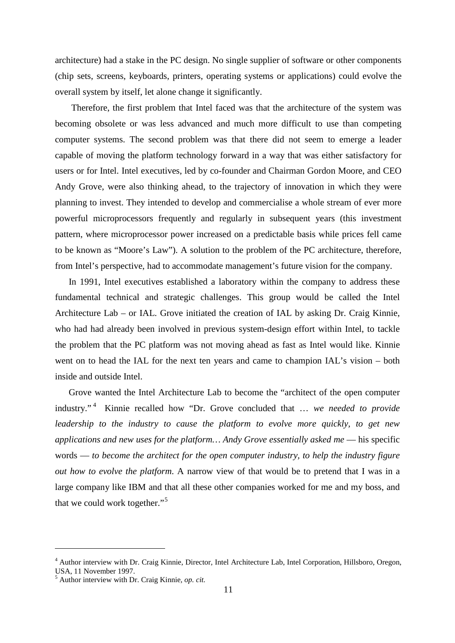architecture) had a stake in the PC design. No single supplier of software or other components (chip sets, screens, keyboards, printers, operating systems or applications) could evolve the overall system by itself, let alone change it significantly.

Therefore, the first problem that Intel faced was that the architecture of the system was becoming obsolete or was less advanced and much more difficult to use than competing computer systems. The second problem was that there did not seem to emerge a leader capable of moving the platform technology forward in a way that was either satisfactory for users or for Intel. Intel executives, led by co-founder and Chairman Gordon Moore, and CEO Andy Grove, were also thinking ahead, to the trajectory of innovation in which they were planning to invest. They intended to develop and commercialise a whole stream of ever more powerful microprocessors frequently and regularly in subsequent years (this investment pattern, where microprocessor power increased on a predictable basis while prices fell came to be known as "Moore's Law"). A solution to the problem of the PC architecture, therefore, from Intel's perspective, had to accommodate management's future vision for the company.

In 1991, Intel executives established a laboratory within the company to address these fundamental technical and strategic challenges. This group would be called the Intel Architecture Lab – or IAL. Grove initiated the creation of IAL by asking Dr. Craig Kinnie, who had had already been involved in previous system-design effort within Intel, to tackle the problem that the PC platform was not moving ahead as fast as Intel would like. Kinnie went on to head the IAL for the next ten years and came to champion IAL's vision – both inside and outside Intel.

Grove wanted the Intel Architecture Lab to become the "architect of the open computer industry."<sup>[4](#page-11-0)</sup> Kinnie recalled how "Dr. Grove concluded that ... we needed to provide *leadership to the industry to cause the platform to evolve more quickly, to get new applications and new uses for the platform… Andy Grove essentially asked me* — his specific words — *to become the architect for the open computer industry, to help the industry figure out how to evolve the platform*. A narrow view of that would be to pretend that I was in a large company like IBM and that all these other companies worked for me and my boss, and that we could work together."<sup>[5](#page-11-1)</sup>

<span id="page-12-0"></span><u>.</u>

<span id="page-12-1"></span><sup>4</sup> Author interview with Dr. Craig Kinnie, Director, Intel Architecture Lab, Intel Corporation, Hillsboro, Oregon, USA, 11 November 1997.

<span id="page-12-2"></span><sup>5</sup> Author interview with Dr. Craig Kinnie, *op. cit.*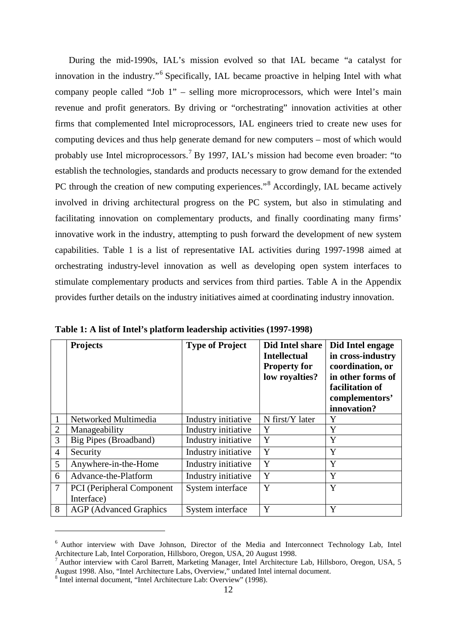During the mid-1990s, IAL's mission evolved so that IAL became "a catalyst for innovation in the industry."<sup>[6](#page-12-0)</sup> Specifically, IAL became proactive in helping Intel with what company people called "Job 1" – selling more microprocessors, which were Intel's main revenue and profit generators. By driving or "orchestrating" innovation activities at other firms that complemented Intel microprocessors, IAL engineers tried to create new uses for computing devices and thus help generate demand for new computers – most of which would probably use Intel microprocessors.<sup>[7](#page-12-1)</sup> By 1997, IAL's mission had become even broader: "to establish the technologies, standards and products necessary to grow demand for the extended PC through the creation of new computing experiences."[8](#page-12-2) Accordingly, IAL became actively involved in driving architectural progress on the PC system, but also in stimulating and facilitating innovation on complementary products, and finally coordinating many firms' innovative work in the industry, attempting to push forward the development of new system capabilities. Table 1 is a list of representative IAL activities during 1997-1998 aimed at orchestrating industry-level innovation as well as developing open system interfaces to stimulate complementary products and services from third parties. Table A in the Appendix provides further details on the industry initiatives aimed at coordinating industry innovation.

|                | <b>Projects</b>                                | <b>Type of Project</b> | Did Intel share<br><b>Intellectual</b><br><b>Property for</b><br>low royalties? | Did Intel engage<br>in cross-industry<br>coordination, or<br>in other forms of<br>facilitation of<br>complementors'<br>innovation? |
|----------------|------------------------------------------------|------------------------|---------------------------------------------------------------------------------|------------------------------------------------------------------------------------------------------------------------------------|
| 1              | Networked Multimedia                           | Industry initiative    | N first/Y later                                                                 | Y                                                                                                                                  |
| $\overline{2}$ | Manageability                                  | Industry initiative    | Y                                                                               | Y                                                                                                                                  |
| 3              | Big Pipes (Broadband)                          | Industry initiative    | Y                                                                               | Y                                                                                                                                  |
| $\overline{4}$ | Security                                       | Industry initiative    | Y                                                                               | Y                                                                                                                                  |
| 5              | Anywhere-in-the-Home                           | Industry initiative    | Y                                                                               | Y                                                                                                                                  |
| 6              | Advance-the-Platform                           | Industry initiative    | Y                                                                               | Y                                                                                                                                  |
| 7              | <b>PCI</b> (Peripheral Component<br>Interface) | System interface       | Y                                                                               | Y                                                                                                                                  |
| 8              | <b>AGP</b> (Advanced Graphics                  | System interface       | Y                                                                               | Y                                                                                                                                  |

**Table 1: A list of Intel's platform leadership activities (1997-1998)** 

<u>.</u>

<sup>&</sup>lt;sup>6</sup> Author interview with Dave Johnson, Director of the Media and Interconnect Technology Lab, Intel Architecture Lab, Intel Corporation, Hillsboro, Oregon, USA, 20 August 1998.

<sup>&</sup>lt;sup>7</sup> Author interview with Carol Barrett, Marketing Manager, Intel Architecture Lab, Hillsboro, Oregon, USA, 5 August 1998. Also, "Intel Architecture Labs, Overview," undated Intel internal document.

<sup>8</sup> Intel internal document, "Intel Architecture Lab: Overview" (1998).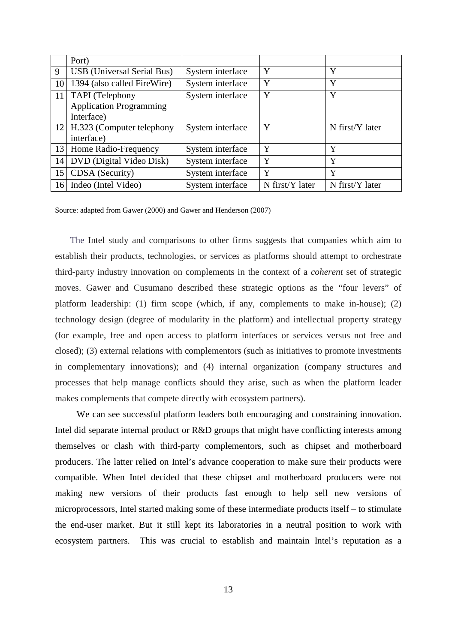|    | Port)                             |                  |                 |                 |
|----|-----------------------------------|------------------|-----------------|-----------------|
| 9  | <b>USB</b> (Universal Serial Bus) | System interface | Y               | Y               |
| 10 | 1394 (also called FireWire)       | System interface | Y               | Y               |
|    | 11 TAPI (Telephony                | System interface | Y               | Y               |
|    | <b>Application Programming</b>    |                  |                 |                 |
|    | Interface)                        |                  |                 |                 |
|    | 12 H.323 (Computer telephony      | System interface | Y               | N first/Y later |
|    | interface)                        |                  |                 |                 |
| 13 | Home Radio-Frequency              | System interface | Y               | Y               |
| 14 | DVD (Digital Video Disk)          | System interface | Y               | Y               |
| 15 | CDSA (Security)                   | System interface | Y               | Y               |
| 16 | Indeo (Intel Video)               | System interface | N first/Y later | N first/Y later |

Source: adapted from Gawer (2000) and Gawer and Henderson (2007)

The Intel study and comparisons to other firms suggests that companies which aim to establish their products, technologies, or services as platforms should attempt to orchestrate third-party industry innovation on complements in the context of a *coherent* set of strategic moves. Gawer and Cusumano described these strategic options as the "four levers" of platform leadership: (1) firm scope (which, if any, complements to make in-house); (2) technology design (degree of modularity in the platform) and intellectual property strategy (for example, free and open access to platform interfaces or services versus not free and closed); (3) external relations with complementors (such as initiatives to promote investments in complementary innovations); and (4) internal organization (company structures and processes that help manage conflicts should they arise, such as when the platform leader makes complements that compete directly with ecosystem partners).

<span id="page-14-0"></span>We can see successful platform leaders both encouraging and constraining innovation. Intel did separate internal product or R&D groups that might have conflicting interests among themselves or clash with third-party complementors, such as chipset and motherboard producers. The latter relied on Intel's advance cooperation to make sure their products were compatible. When Intel decided that these chipset and motherboard producers were not making new versions of their products fast enough to help sell new versions of microprocessors, Intel started making some of these intermediate products itself – to stimulate the end-user market. But it still kept its laboratories in a neutral position to work with ecosystem partners. This was crucial to establish and maintain Intel's reputation as a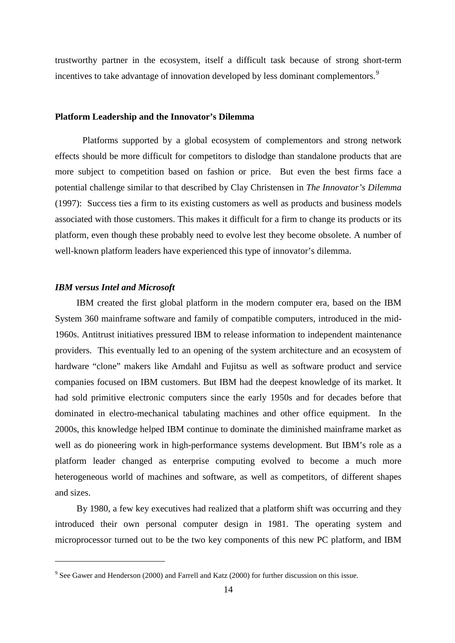trustworthy partner in the ecosystem, itself a difficult task because of strong short-term incentives to take advantage of innovation developed by less dominant complementors.<sup>[9](#page-14-0)</sup>

#### **Platform Leadership and the Innovator's Dilemma**

Platforms supported by a global ecosystem of complementors and strong network effects should be more difficult for competitors to dislodge than standalone products that are more subject to competition based on fashion or price. But even the best firms face a potential challenge similar to that described by Clay Christensen in *The Innovator's Dilemma* (1997): Success ties a firm to its existing customers as well as products and business models associated with those customers. This makes it difficult for a firm to change its products or its platform, even though these probably need to evolve lest they become obsolete. A number of well-known platform leaders have experienced this type of innovator's dilemma.

#### *IBM versus Intel and Microsoft*

<u>.</u>

IBM created the first global platform in the modern computer era, based on the IBM System 360 mainframe software and family of compatible computers, introduced in the mid-1960s. Antitrust initiatives pressured IBM to release information to independent maintenance providers. This eventually led to an opening of the system architecture and an ecosystem of hardware "clone" makers like Amdahl and Fujitsu as well as software product and service companies focused on IBM customers. But IBM had the deepest knowledge of its market. It had sold primitive electronic computers since the early 1950s and for decades before that dominated in electro-mechanical tabulating machines and other office equipment. In the 2000s, this knowledge helped IBM continue to dominate the diminished mainframe market as well as do pioneering work in high-performance systems development. But IBM's role as a platform leader changed as enterprise computing evolved to become a much more heterogeneous world of machines and software, as well as competitors, of different shapes and sizes.

 By 1980, a few key executives had realized that a platform shift was occurring and they introduced their own personal computer design in 1981. The operating system and microprocessor turned out to be the two key components of this new PC platform, and IBM

 $9^9$  See Gawer and Henderson (2000) and Farrell and Katz (2000) for further discussion on this issue.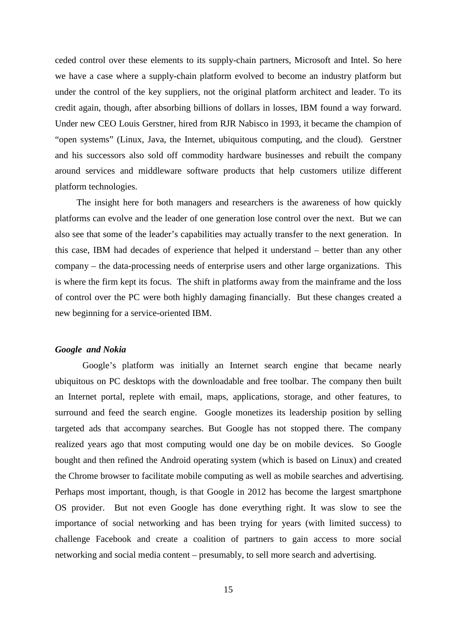ceded control over these elements to its supply-chain partners, Microsoft and Intel. So here we have a case where a supply-chain platform evolved to become an industry platform but under the control of the key suppliers, not the original platform architect and leader. To its credit again, though, after absorbing billions of dollars in losses, IBM found a way forward. Under new CEO Louis Gerstner, hired from RJR Nabisco in 1993, it became the champion of "open systems" (Linux, Java, the Internet, ubiquitous computing, and the cloud). Gerstner and his successors also sold off commodity hardware businesses and rebuilt the company around services and middleware software products that help customers utilize different platform technologies.

The insight here for both managers and researchers is the awareness of how quickly platforms can evolve and the leader of one generation lose control over the next. But we can also see that some of the leader's capabilities may actually transfer to the next generation. In this case, IBM had decades of experience that helped it understand – better than any other company – the data-processing needs of enterprise users and other large organizations. This is where the firm kept its focus. The shift in platforms away from the mainframe and the loss of control over the PC were both highly damaging financially. But these changes created a new beginning for a service-oriented IBM.

#### *Google and Nokia*

Google's platform was initially an Internet search engine that became nearly ubiquitous on PC desktops with the downloadable and free toolbar. The company then built an Internet portal, replete with email, maps, applications, storage, and other features, to surround and feed the search engine. Google monetizes its leadership position by selling targeted ads that accompany searches. But Google has not stopped there. The company realized years ago that most computing would one day be on mobile devices. So Google bought and then refined the Android operating system (which is based on Linux) and created the Chrome browser to facilitate mobile computing as well as mobile searches and advertising. Perhaps most important, though, is that Google in 2012 has become the largest smartphone OS provider. But not even Google has done everything right. It was slow to see the importance of social networking and has been trying for years (with limited success) to challenge Facebook and create a coalition of partners to gain access to more social networking and social media content – presumably, to sell more search and advertising.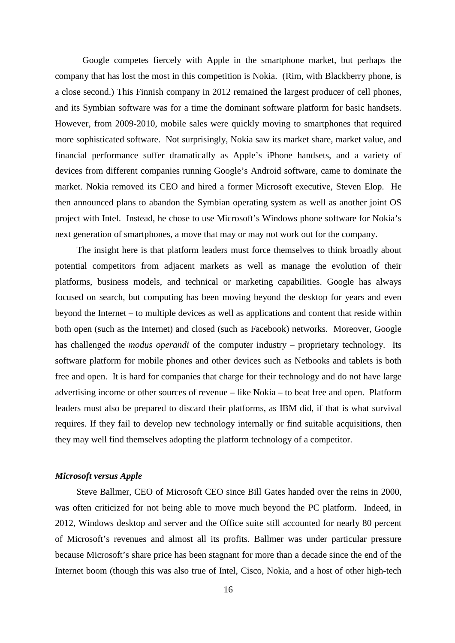Google competes fiercely with Apple in the smartphone market, but perhaps the company that has lost the most in this competition is Nokia. (Rim, with Blackberry phone, is a close second.) This Finnish company in 2012 remained the largest producer of cell phones, and its Symbian software was for a time the dominant software platform for basic handsets. However, from 2009-2010, mobile sales were quickly moving to smartphones that required more sophisticated software. Not surprisingly, Nokia saw its market share, market value, and financial performance suffer dramatically as Apple's iPhone handsets, and a variety of devices from different companies running Google's Android software, came to dominate the market. Nokia removed its CEO and hired a former Microsoft executive, Steven Elop. He then announced plans to abandon the Symbian operating system as well as another joint OS project with Intel. Instead, he chose to use Microsoft's Windows phone software for Nokia's next generation of smartphones, a move that may or may not work out for the company.

The insight here is that platform leaders must force themselves to think broadly about potential competitors from adjacent markets as well as manage the evolution of their platforms, business models, and technical or marketing capabilities. Google has always focused on search, but computing has been moving beyond the desktop for years and even beyond the Internet – to multiple devices as well as applications and content that reside within both open (such as the Internet) and closed (such as Facebook) networks. Moreover, Google has challenged the *modus operandi* of the computer industry – proprietary technology. Its software platform for mobile phones and other devices such as Netbooks and tablets is both free and open. It is hard for companies that charge for their technology and do not have large advertising income or other sources of revenue – like Nokia – to beat free and open. Platform leaders must also be prepared to discard their platforms, as IBM did, if that is what survival requires. If they fail to develop new technology internally or find suitable acquisitions, then they may well find themselves adopting the platform technology of a competitor.

#### *Microsoft versus Apple*

Steve Ballmer, CEO of Microsoft CEO since Bill Gates handed over the reins in 2000, was often criticized for not being able to move much beyond the PC platform. Indeed, in 2012, Windows desktop and server and the Office suite still accounted for nearly 80 percent of Microsoft's revenues and almost all its profits. Ballmer was under particular pressure because Microsoft's share price has been stagnant for more than a decade since the end of the Internet boom (though this was also true of Intel, Cisco, Nokia, and a host of other high-tech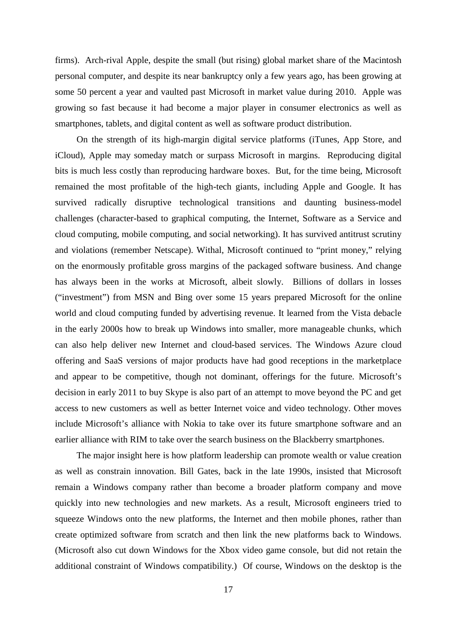firms). Arch-rival Apple, despite the small (but rising) global market share of the Macintosh personal computer, and despite its near bankruptcy only a few years ago, has been growing at some 50 percent a year and vaulted past Microsoft in market value during 2010. Apple was growing so fast because it had become a major player in consumer electronics as well as smartphones, tablets, and digital content as well as software product distribution.

On the strength of its high-margin digital service platforms (iTunes, App Store, and iCloud), Apple may someday match or surpass Microsoft in margins. Reproducing digital bits is much less costly than reproducing hardware boxes. But, for the time being, Microsoft remained the most profitable of the high-tech giants, including Apple and Google. It has survived radically disruptive technological transitions and daunting business-model challenges (character-based to graphical computing, the Internet, Software as a Service and cloud computing, mobile computing, and social networking). It has survived antitrust scrutiny and violations (remember Netscape). Withal, Microsoft continued to "print money," relying on the enormously profitable gross margins of the packaged software business. And change has always been in the works at Microsoft, albeit slowly. Billions of dollars in losses ("investment") from MSN and Bing over some 15 years prepared Microsoft for the online world and cloud computing funded by advertising revenue. It learned from the Vista debacle in the early 2000s how to break up Windows into smaller, more manageable chunks, which can also help deliver new Internet and cloud-based services. The Windows Azure cloud offering and SaaS versions of major products have had good receptions in the marketplace and appear to be competitive, though not dominant, offerings for the future. Microsoft's decision in early 2011 to buy Skype is also part of an attempt to move beyond the PC and get access to new customers as well as better Internet voice and video technology. Other moves include Microsoft's alliance with Nokia to take over its future smartphone software and an earlier alliance with RIM to take over the search business on the Blackberry smartphones.

The major insight here is how platform leadership can promote wealth or value creation as well as constrain innovation. Bill Gates, back in the late 1990s, insisted that Microsoft remain a Windows company rather than become a broader platform company and move quickly into new technologies and new markets. As a result, Microsoft engineers tried to squeeze Windows onto the new platforms, the Internet and then mobile phones, rather than create optimized software from scratch and then link the new platforms back to Windows. (Microsoft also cut down Windows for the Xbox video game console, but did not retain the additional constraint of Windows compatibility.) Of course, Windows on the desktop is the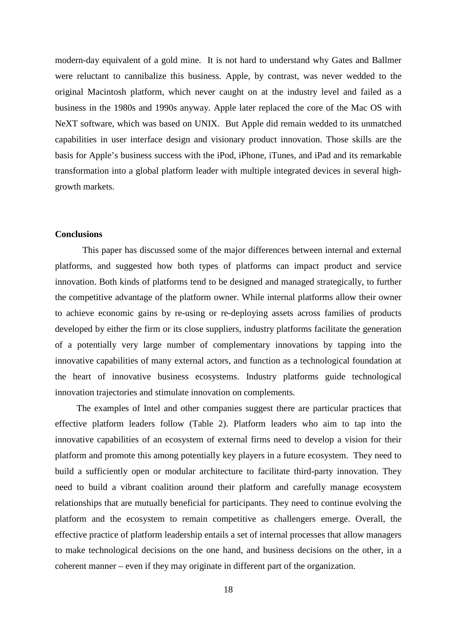modern-day equivalent of a gold mine. It is not hard to understand why Gates and Ballmer were reluctant to cannibalize this business. Apple, by contrast, was never wedded to the original Macintosh platform, which never caught on at the industry level and failed as a business in the 1980s and 1990s anyway. Apple later replaced the core of the Mac OS with NeXT software, which was based on UNIX. But Apple did remain wedded to its unmatched capabilities in user interface design and visionary product innovation. Those skills are the basis for Apple's business success with the iPod, iPhone, iTunes, and iPad and its remarkable transformation into a global platform leader with multiple integrated devices in several highgrowth markets.

#### **Conclusions**

This paper has discussed some of the major differences between internal and external platforms, and suggested how both types of platforms can impact product and service innovation. Both kinds of platforms tend to be designed and managed strategically, to further the competitive advantage of the platform owner. While internal platforms allow their owner to achieve economic gains by re-using or re-deploying assets across families of products developed by either the firm or its close suppliers, industry platforms facilitate the generation of a potentially very large number of complementary innovations by tapping into the innovative capabilities of many external actors, and function as a technological foundation at the heart of innovative business ecosystems. Industry platforms guide technological innovation trajectories and stimulate innovation on complements.

The examples of Intel and other companies suggest there are particular practices that effective platform leaders follow (Table 2). Platform leaders who aim to tap into the innovative capabilities of an ecosystem of external firms need to develop a vision for their platform and promote this among potentially key players in a future ecosystem. They need to build a sufficiently open or modular architecture to facilitate third-party innovation. They need to build a vibrant coalition around their platform and carefully manage ecosystem relationships that are mutually beneficial for participants. They need to continue evolving the platform and the ecosystem to remain competitive as challengers emerge. Overall, the effective practice of platform leadership entails a set of internal processes that allow managers to make technological decisions on the one hand, and business decisions on the other, in a coherent manner – even if they may originate in different part of the organization.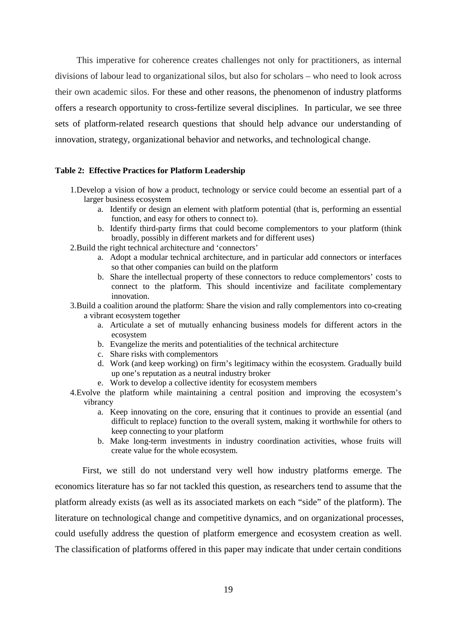This imperative for coherence creates challenges not only for practitioners, as internal divisions of labour lead to organizational silos, but also for scholars – who need to look across their own academic silos. For these and other reasons, the phenomenon of industry platforms offers a research opportunity to cross-fertilize several disciplines. In particular, we see three sets of platform-related research questions that should help advance our understanding of innovation, strategy, organizational behavior and networks, and technological change.

#### **Table 2: Effective Practices for Platform Leadership**

- 1.Develop a vision of how a product, technology or service could become an essential part of a larger business ecosystem
	- a. Identify or design an element with platform potential (that is, performing an essential function, and easy for others to connect to).
	- b. Identify third-party firms that could become complementors to your platform (think broadly, possibly in different markets and for different uses)
- 2.Build the right technical architecture and 'connectors'
	- a. Adopt a modular technical architecture, and in particular add connectors or interfaces so that other companies can build on the platform
	- b. Share the intellectual property of these connectors to reduce complementors' costs to connect to the platform. This should incentivize and facilitate complementary innovation.
- 3.Build a coalition around the platform: Share the vision and rally complementors into co-creating a vibrant ecosystem together
	- a. Articulate a set of mutually enhancing business models for different actors in the ecosystem
	- b. Evangelize the merits and potentialities of the technical architecture
	- c. Share risks with complementors
	- d. Work (and keep working) on firm's legitimacy within the ecosystem. Gradually build up one's reputation as a neutral industry broker
	- e. Work to develop a collective identity for ecosystem members

4.Evolve the platform while maintaining a central position and improving the ecosystem's vibrancy

- a. Keep innovating on the core, ensuring that it continues to provide an essential (and difficult to replace) function to the overall system, making it worthwhile for others to keep connecting to your platform
- b. Make long-term investments in industry coordination activities, whose fruits will create value for the whole ecosystem.

 First, we still do not understand very well how industry platforms emerge. The economics literature has so far not tackled this question, as researchers tend to assume that the platform already exists (as well as its associated markets on each "side" of the platform). The literature on technological change and competitive dynamics, and on organizational processes, could usefully address the question of platform emergence and ecosystem creation as well. The classification of platforms offered in this paper may indicate that under certain conditions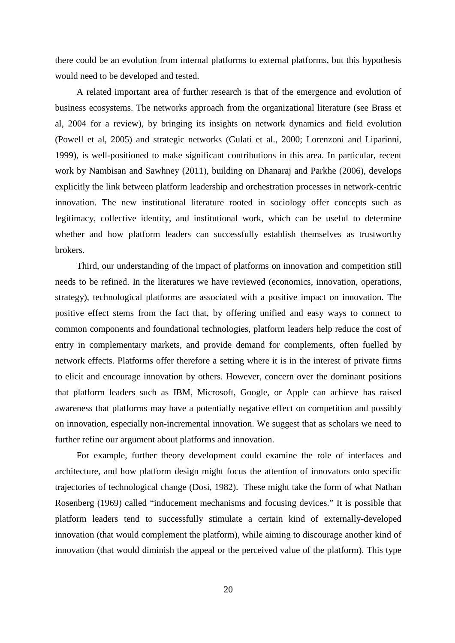there could be an evolution from internal platforms to external platforms, but this hypothesis would need to be developed and tested.

A related important area of further research is that of the emergence and evolution of business ecosystems. The networks approach from the organizational literature (see Brass et al, 2004 for a review), by bringing its insights on network dynamics and field evolution (Powell et al, 2005) and strategic networks (Gulati et al., 2000; Lorenzoni and Liparinni, 1999), is well-positioned to make significant contributions in this area. In particular, recent work by Nambisan and Sawhney (2011), building on Dhanaraj and Parkhe (2006), develops explicitly the link between platform leadership and orchestration processes in network-centric innovation. The new institutional literature rooted in sociology offer concepts such as legitimacy, collective identity, and institutional work, which can be useful to determine whether and how platform leaders can successfully establish themselves as trustworthy brokers.

Third, our understanding of the impact of platforms on innovation and competition still needs to be refined. In the literatures we have reviewed (economics, innovation, operations, strategy), technological platforms are associated with a positive impact on innovation. The positive effect stems from the fact that, by offering unified and easy ways to connect to common components and foundational technologies, platform leaders help reduce the cost of entry in complementary markets, and provide demand for complements, often fuelled by network effects. Platforms offer therefore a setting where it is in the interest of private firms to elicit and encourage innovation by others. However, concern over the dominant positions that platform leaders such as IBM, Microsoft, Google, or Apple can achieve has raised awareness that platforms may have a potentially negative effect on competition and possibly on innovation, especially non-incremental innovation. We suggest that as scholars we need to further refine our argument about platforms and innovation.

For example, further theory development could examine the role of interfaces and architecture, and how platform design might focus the attention of innovators onto specific trajectories of technological change (Dosi, 1982). These might take the form of what Nathan Rosenberg (1969) called "inducement mechanisms and focusing devices." It is possible that platform leaders tend to successfully stimulate a certain kind of externally-developed innovation (that would complement the platform), while aiming to discourage another kind of innovation (that would diminish the appeal or the perceived value of the platform). This type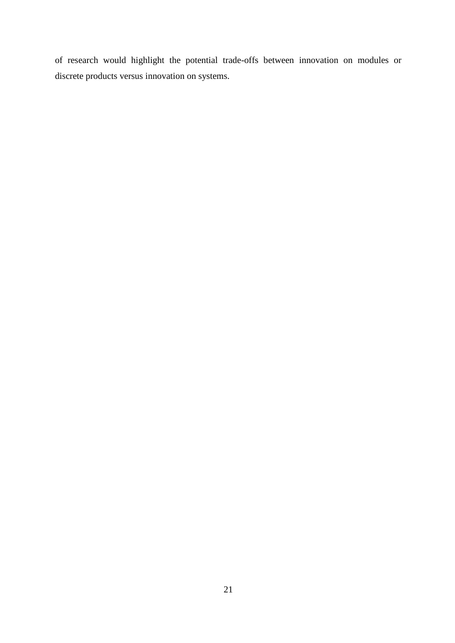<span id="page-22-1"></span><span id="page-22-0"></span>of research would highlight the potential trade-offs between innovation on modules or discrete products versus innovation on systems.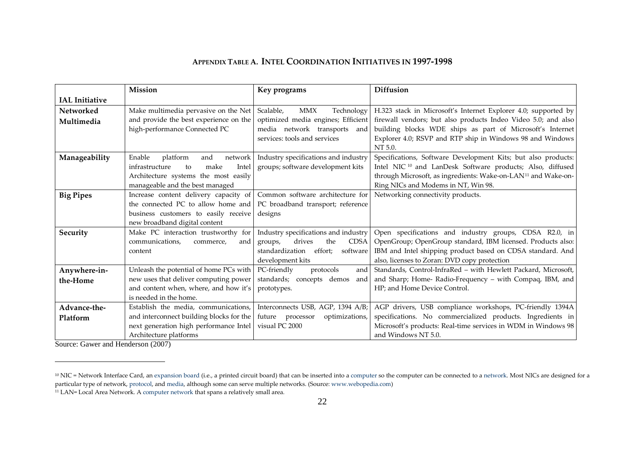# **APPENDIX TABLE A. INTEL COORDINATION INITIATIVES IN 1997-1998**

|                                                           | Mission                                  | Key programs                           | <b>Diffusion</b>                                                          |
|-----------------------------------------------------------|------------------------------------------|----------------------------------------|---------------------------------------------------------------------------|
| <b>IAL</b> Initiative                                     |                                          |                                        |                                                                           |
| Make multimedia pervasive on the Net<br>Networked         |                                          | <b>MMX</b><br>Scalable,<br>Technology  | H.323 stack in Microsoft's Internet Explorer 4.0; supported by            |
| and provide the best experience on the<br>Multimedia      |                                          | optimized media engines; Efficient     | firewall vendors; but also products Indeo Video 5.0; and also             |
|                                                           | high-performance Connected PC            | media network transports and           | building blocks WDE ships as part of Microsoft's Internet                 |
|                                                           |                                          | services: tools and services           | Explorer 4.0; RSVP and RTP ship in Windows 98 and Windows                 |
|                                                           |                                          |                                        | NT 5.0.                                                                   |
| platform<br>Manageability<br>Enable<br>and<br>network     |                                          | Industry specifications and industry   | Specifications, Software Development Kits; but also products:             |
|                                                           | infrastructure<br>make<br>Intel<br>to    | groups; software development kits      | Intel NIC <sup>10</sup> and LanDesk Software products; Also, diffused     |
|                                                           | Architecture systems the most easily     |                                        | through Microsoft, as ingredients: Wake-on-LAN <sup>11</sup> and Wake-on- |
|                                                           | manageable and the best managed          |                                        | Ring NICs and Modems in NT, Win 98.                                       |
| Increase content delivery capacity of<br><b>Big Pipes</b> |                                          | Common software architecture for       | Networking connectivity products.                                         |
|                                                           | the connected PC to allow home and       | PC broadband transport; reference      |                                                                           |
|                                                           | business customers to easily receive     | designs                                |                                                                           |
|                                                           | new broadband digital content            |                                        |                                                                           |
| Security                                                  | Make PC interaction trustworthy for      | Industry specifications and industry   | Open specifications and industry groups, CDSA R2.0, in                    |
|                                                           | communications,<br>and<br>commerce,      | the<br>CDSA<br>drives<br>groups,       | OpenGroup; OpenGroup standard, IBM licensed. Products also:               |
|                                                           | content                                  | standardization<br>effort;<br>software | IBM and Intel shipping product based on CDSA standard. And                |
|                                                           |                                          | development kits                       | also, licenses to Zoran: DVD copy protection                              |
| Anywhere-in-                                              | Unleash the potential of home PCs with   | PC-friendly<br>protocols<br>and        | Standards, Control-InfraRed - with Hewlett Packard, Microsoft,            |
| the-Home                                                  | new uses that deliver computing power    | standards; concepts demos<br>and       | and Sharp; Home- Radio-Frequency - with Compaq, IBM, and                  |
|                                                           | and content when, where, and how it's    | prototypes.                            | HP; and Home Device Control.                                              |
|                                                           | is needed in the home.                   |                                        |                                                                           |
| Advance-the-                                              | Establish the media, communications,     | Interconnects USB, AGP, 1394 A/B;      | AGP drivers, USB compliance workshops, PC-friendly 1394A                  |
| Platform                                                  | and interconnect building blocks for the | future processor<br>optimizations,     | specifications. No commercialized products. Ingredients in                |
|                                                           | next generation high performance Intel   | visual PC 2000                         | Microsoft's products: Real-time services in WDM in Windows 98             |
|                                                           | Architecture platforms                   |                                        | and Windows NT 5.0.                                                       |

Source: Gawer and Henderson (2007)

 $\overline{a}$ 

<sup>&</sup>lt;sup>10</sup> NIC = Network Interface Card, a[n expansion board](http://www.webopedia.com/TERM/n/expansion_board.html) (i.e., a printed circuit board) that can be inserted into [a computer](http://www.webopedia.com/TERM/n/computer.html) so the computer can be connected to [a network.](http://www.webopedia.com/TERM/n/network.html) Most NICs are designed for a particular type of network[, protocol,](http://www.webopedia.com/TERM/n/protocol.html) an[d media,](http://www.webopedia.com/TERM/n/media.html) although some can serve multiple networks. (Source: www.webopedia.com)

<sup>&</sup>lt;sup>11</sup> LAN= Local Area Network. [A computer](http://www.webopedia.com/TERM/l/computer.html) [network](http://www.webopedia.com/TERM/l/network.html) that spans a relatively small area.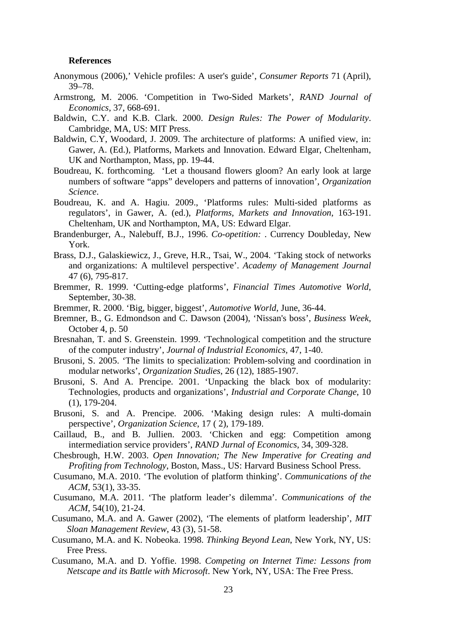#### **References**

- Anonymous (2006),' Vehicle profiles: A user's guide', *Consumer Reports* 71 (April), 39–78.
- Armstrong, M. 2006. 'Competition in Two-Sided Markets', *RAND Journal of Economics*, 37, 668-691.
- Baldwin, C.Y. and K.B. Clark. 2000. *Design Rules: The Power of Modularity*. Cambridge, MA, US: MIT Press.
- Baldwin, C.Y, Woodard, J. 2009. The architecture of platforms: A unified view, in: Gawer, A. (Ed.), Platforms, Markets and Innovation. Edward Elgar, Cheltenham, UK and Northampton, Mass, pp. 19-44.
- Boudreau, K. forthcoming. 'Let a thousand flowers gloom? An early look at large numbers of software "apps" developers and patterns of innovation', *Organization Science*.
- Boudreau, K. and A. Hagiu. 2009., 'Platforms rules: Multi-sided platforms as regulators', in Gawer, A. (ed.), *Platforms, Markets and Innovation*, 163-191. Cheltenham, UK and Northampton, MA, US: Edward Elgar.
- Brandenburger, A., Nalebuff, B.J., 1996. *Co-opetition:* . Currency Doubleday, New York.
- Brass, D.J., Galaskiewicz, J., Greve, H.R., Tsai, W., 2004. 'Taking stock of networks and organizations: A multilevel perspective'. *Academy of Management Journal* 47 (6), 795-817.
- Bremmer, R. 1999. 'Cutting-edge platforms', *Financial Times Automotive World*, September, 30-38.
- Bremmer, R. 2000. 'Big, bigger, biggest', *Automotive World*, June, 36-44.
- Bremner, B., G. Edmondson and C. Dawson (2004), 'Nissan's boss', *Business Week*, October 4, p. 50
- Bresnahan, T. and S. Greenstein. 1999. 'Technological competition and the structure of the computer industry', *Journal of Industrial Economics,* 47, 1-40.
- Brusoni, S. 2005. 'The limits to specialization: Problem-solving and coordination in modular networks', *Organization Studies*, 26 (12), 1885-1907.
- Brusoni, S. And A. Prencipe. 2001. 'Unpacking the black box of modularity: Technologies, products and organizations', *Industrial and Corporate Change*, 10 (1), 179-204.
- Brusoni, S. and A. Prencipe. 2006. 'Making design rules: A multi-domain perspective', *Organization Science*, 17 ( 2), 179-189.
- Caillaud, B., and B. Jullien. 2003. 'Chicken and egg: Competition among intermediation service providers', *RAND Jurnal of Economics*, 34, 309-328.
- Chesbrough, H.W. 2003. *Open Innovation; The New Imperative for Creating and Profiting from Technology*, Boston, Mass., US: Harvard Business School Press.
- Cusumano, M.A. 2010. 'The evolution of platform thinking'. *Communications of the ACM*, 53(1), 33-35.
- Cusumano, M.A. 2011. 'The platform leader's dilemma'. *Communications of the ACM*, 54(10), 21-24.
- Cusumano, M.A. and A. Gawer (2002), 'The elements of platform leadership', *MIT Sloan Management Review*, 43 (3), 51-58.
- Cusumano, M.A. and K. Nobeoka. 1998. *Thinking Beyond Lean*, New York, NY, US: Free Press.
- Cusumano, M.A. and D. Yoffie. 1998. *Competing on Internet Time: Lessons from Netscape and its Battle with Microsoft*. New York, NY, USA: The Free Press.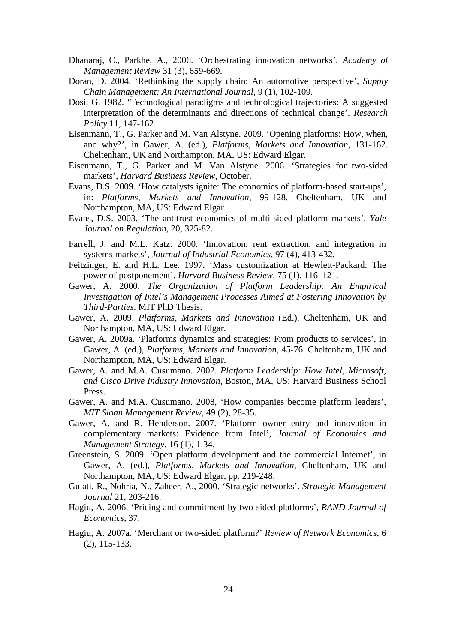- Dhanaraj, C., Parkhe, A., 2006. 'Orchestrating innovation networks'. *Academy of Management Review* 31 (3), 659-669.
- Doran, D. 2004. 'Rethinking the supply chain: An automotive perspective', *[Supply](http://www.ingentaconnect.com/content/mcb/177;jsessionid=32529av2hx2de.alice)  [Chain Management: An International Journal](http://www.ingentaconnect.com/content/mcb/177;jsessionid=32529av2hx2de.alice)*, 9 (1), 102-109.
- Dosi, G. 1982. 'Technological paradigms and technological trajectories: A suggested interpretation of the determinants and directions of technical change'. *Research Policy* 11, 147-162.
- Eisenmann, T., G. Parker and M. Van Alstyne. 2009. 'Opening platforms: How, when, and why?', in Gawer, A. (ed.), *Platforms, Markets and Innovation*, 131-162. Cheltenham, UK and Northampton, MA, US: Edward Elgar.
- Eisenmann, T., G. Parker and M. Van Alstyne. 2006. 'Strategies for two-sided markets', *Harvard Business Review*, October.
- Evans, D.S. 2009. 'How catalysts ignite: The economics of platform-based start-ups', in: *Platforms, Markets and Innovation*, 99-128. Cheltenham, UK and Northampton, MA, US: Edward Elgar.
- Evans, D.S. 2003. 'The antitrust economics of multi-sided platform markets', *Yale Journal on Regulation*, 20, 325-82.
- Farrell, J. and M.L. Katz. 2000. 'Innovation, rent extraction, and integration in systems markets', *Journal of Industrial Economics*, 97 (4), 413-432.
- Feitzinger, E. and H.L. Lee. 1997. 'Mass customization at Hewlett-Packard: The power of postponement', *Harvard Business Review*, 75 (1), 116–121.
- Gawer, A. 2000. *The Organization of Platform Leadership: An Empirical Investigation of Intel's Management Processes Aimed at Fostering Innovation by Third-Parties*. MIT PhD Thesis.
- Gawer, A. 2009. *Platforms, Markets and Innovation* (Ed.). Cheltenham, UK and Northampton, MA, US: Edward Elgar.
- Gawer, A. 2009a. 'Platforms dynamics and strategies: From products to services', in Gawer, A. (ed.), *Platforms, Markets and Innovation*, 45-76. Cheltenham, UK and Northampton, MA, US: Edward Elgar.
- Gawer, A. and M.A. Cusumano. 2002. *Platform Leadership: How Intel, Microsoft, and Cisco Drive Industry Innovation*, Boston, MA, US: Harvard Business School Press.
- Gawer, A. and M.A. Cusumano. 2008, 'How companies become platform leaders', *MIT Sloan Management Review*, 49 (2), 28-35.
- Gawer, A. and R. Henderson. 2007. ['Platform owner entry and innovation in](http://www.platformleadership.com/articles/platformentry.pdf)  [complementary markets: Evidence from Intel'](http://www.platformleadership.com/articles/platformentry.pdf), *Journal of Economics and Management Strategy*, 16 (1), 1-34.
- Greenstein, S. 2009. 'Open platform development and the commercial Internet', in Gawer, A. (ed.), *Platforms, Markets and Innovation*, Cheltenham, UK and Northampton, MA, US: Edward Elgar, pp. 219-248.
- Gulati, R., Nohria, N., Zaheer, A., 2000. 'Strategic networks'. *Strategic Management Journal* 21, 203-216.
- Hagiu, A. 2006. 'Pricing and commitment by two-sided platforms', *RAND Journal of Economics*, 37.
- Hagiu, A. 2007a. 'Merchant or two-sided platform?' *Review of Network Economics,* 6 (2), 115-133.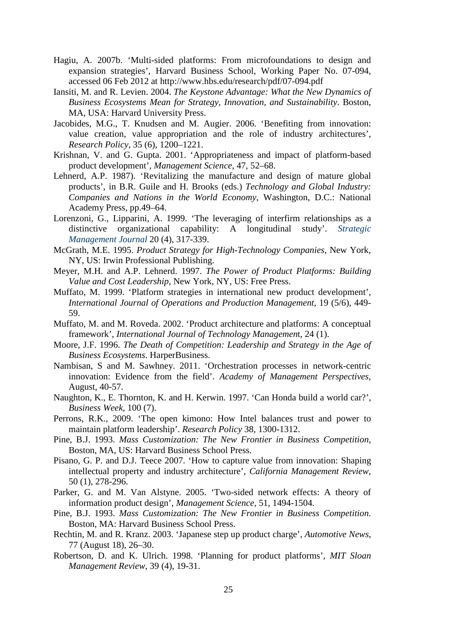- Hagiu, A. 2007b. 'Multi-sided platforms: From microfoundations to design and expansion strategies', Harvard Business School, Working Paper No. 07-094, accessed 06 Feb 2012 at http://www.hbs.edu/research/pdf/07-094.pdf
- Iansiti, M. and R. Levien. 2004. *The Keystone Advantage: What the New Dynamics of Business Ecosystems Mean for Strategy, Innovation, and Sustainability*. Boston, MA, USA: Harvard University Press.
- Jacobides, M.G., T. Knudsen and M. Augier. 2006. 'Benefiting from innovation: value creation, value appropriation and the role of industry architectures', *Research Policy*, 35 (6), 1200–1221.
- Krishnan, V. and G. Gupta. 2001. 'Appropriateness and impact of platform-based product development', *Management Science*, 47, 52–68.
- Lehnerd, A.P. 1987). 'Revitalizing the manufacture and design of mature global products', in B.R. Guile and H. Brooks (eds.) *Technology and Global Industry: Companies and Nations in the World Economy*, Washington, D.C.: National Academy Press, pp.49–64.
- Lorenzoni, G., Lipparini, A. 1999. 'The leveraging of interfirm relationships as a distinctive organizational capability: A longitudinal study'. *[Strategic](javascript:__doLinkPostBack()  [Management Journal](javascript:__doLinkPostBack()* 20 (4), 317-339.
- McGrath, M.E. 1995. *Product Strategy for High-Technology Companies*, New York, NY, US: Irwin Professional Publishing.
- Meyer, M.H. and A.P. Lehnerd. 1997. *The Power of Product Platforms: Building Value and Cost Leadership*, New York, NY, US: Free Press.
- Muffato, M. 1999. 'Platform strategies in international new product development', *International Journal of Operations and Production Management*, 19 (5/6), 449- 59.
- Muffato, M. and M. Roveda. 2002. 'Product architecture and platforms: A conceptual framework', *International Journal of Technology Managemen*t, 24 (1).
- Moore, J.F. 1996. *The Death of Competition: Leadership and Strategy in the Age of Business Ecosystems*. HarperBusiness.
- Nambisan, S and M. Sawhney. 2011. 'Orchestration processes in network-centric innovation: Evidence from the field'. *Academy of Management Perspectives*, August, 40-57.
- Naughton, K., E. Thornton, K. and H. Kerwin. 1997. 'Can Honda build a world car?', *Business Week*, 100 (7).
- Perrons, R.K., 2009. 'The open kimono: How Intel balances trust and power to maintain platform leadership'. *Research Policy* 38, 1300-1312.
- Pine, B.J. 1993. *Mass Customization: The New Frontier in Business Competition*, Boston, MA, US: Harvard Business School Press.
- Pisano, G. P. and D.J. Teece 2007. 'How to capture value from innovation: Shaping intellectual property and industry architecture', *California Management Review*, 50 (1), 278-296.
- Parker, G. and M. Van Alstyne. 2005. 'Two-sided network effects: A theory of information product design', *Management Science,* 51, 1494-1504.
- Pine, B.J. 1993. *Mass Customization: The New Frontier in Business Competition.* Boston, MA: Harvard Business School Press.
- Rechtin, M. and R. Kranz. 2003. 'Japanese step up product charge', *Automotive News*, 77 (August 18), 26–30.
- Robertson, D. and K. Ulrich. 1998. 'Planning for product platforms', *MIT Sloan Management Review*, 39 (4), 19-31.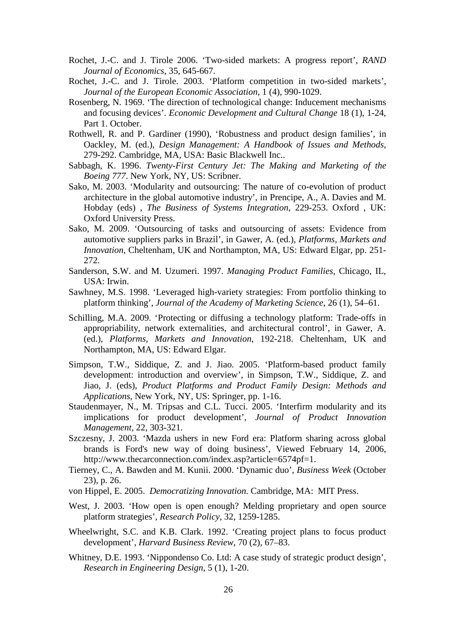- Rochet, J.-C. and J. Tirole 2006. 'Two-sided markets: A progress report', *RAND Journal of Economics*, 35, 645-667.
- Rochet, J.-C. and J. Tirole. 2003. 'Platform competition in two-sided markets', *Journal of the European Economic Association*, 1 (4), 990-1029.
- Rosenberg, N. 1969. 'The direction of technological change: Inducement mechanisms and focusing devices'. *Economic Development and Cultural Change* 18 (1), 1-24, Part 1. October.
- Rothwell, R. and P. Gardiner (1990), 'Robustness and product design families', in Oackley, M. (ed.), *Design Management: A Handbook of Issues and Methods*, 279-292. Cambridge, MA, USA: Basic Blackwell Inc..
- Sabbagh, K. 1996. *Twenty-First Century Jet: The Making and Marketing of the Boeing 777*. New York, NY, US: Scribner.
- Sako, M. 2003. 'Modularity and outsourcing: The nature of co-evolution of product architecture in the global automotive industry', in Prencipe, A., A. Davies and M. Hobday (eds) , *The Business of Systems Integration*, 229-253. Oxford , UK: Oxford University Press.
- Sako, M. 2009. 'Outsourcing of tasks and outsourcing of assets: Evidence from automotive suppliers parks in Brazil', in Gawer, A. (ed.), *Platforms, Markets and Innovation*, Cheltenham, UK and Northampton, MA, US: Edward Elgar, pp. 251- 272.
- Sanderson, S.W. and M. Uzumeri. 1997. *Managing Product Families*, Chicago, IL, USA: Irwin.
- Sawhney, M.S. 1998. 'Leveraged high-variety strategies: From portfolio thinking to platform thinking', *Journal of the Academy of Marketing Science*, 26 (1), 54–61.
- Schilling, M.A. 2009. 'Protecting or diffusing a technology platform: Trade-offs in appropriability, network externalities, and architectural control', in Gawer, A. (ed.), *Platforms, Markets and Innovation*, 192-218. Cheltenham, UK and Northampton, MA, US: Edward Elgar.
- Simpson, T.W., Siddique, Z. and J. Jiao. 2005. 'Platform-based product family development: introduction and overview', in Simpson, T.W., Siddique, Z. and Jiao, J. (eds), *Product Platforms and Product Family Design: Methods and Applications*, New York, NY, US: Springer, pp. 1-16.
- Staudenmayer, N., M. Tripsas and C.L. Tucci. 2005. 'Interfirm modularity and its implications for product development', *Journal of Product Innovation Management*, 22, 303-321.
- Szczesny, J. 2003. 'Mazda ushers in new Ford era: Platform sharing across global brands is Ford's new way of doing business', Viewed February 14, 2006, [http://www.thecarconnection.com/index.asp?article=6574pf=1.](http://www.sciencedirect.com/science?_ob=RedirectURL&_method=externObjLink&_locator=url&_cdi=6931&_plusSign=%2B&_targetURL=http%3A%2F%2Fwww.thecarconnection.com%2Findex.asp%3Farticle%3D6574pf%3D1)
- Tierney, C., A. Bawden and M. Kunii. 2000. 'Dynamic duo', *Business Week* (October 23), p. 26.
- von Hippel, E. 2005. *Democratizing Innovation.* Cambridge, MA: MIT Press.
- West, J. 2003. 'How open is open enough? Melding proprietary and open source platform strategies', *Research Policy,* 32, 1259-1285.
- Wheelwright, S.C. and K.B. Clark. 1992. 'Creating project plans to focus product development', *Harvard Business Review*, 70 (2), 67–83.
- Whitney, D.E. 1993. 'Nippondenso Co. Ltd: A case study of strategic product design', *Research in Engineering Design*, 5 (1), 1-20.